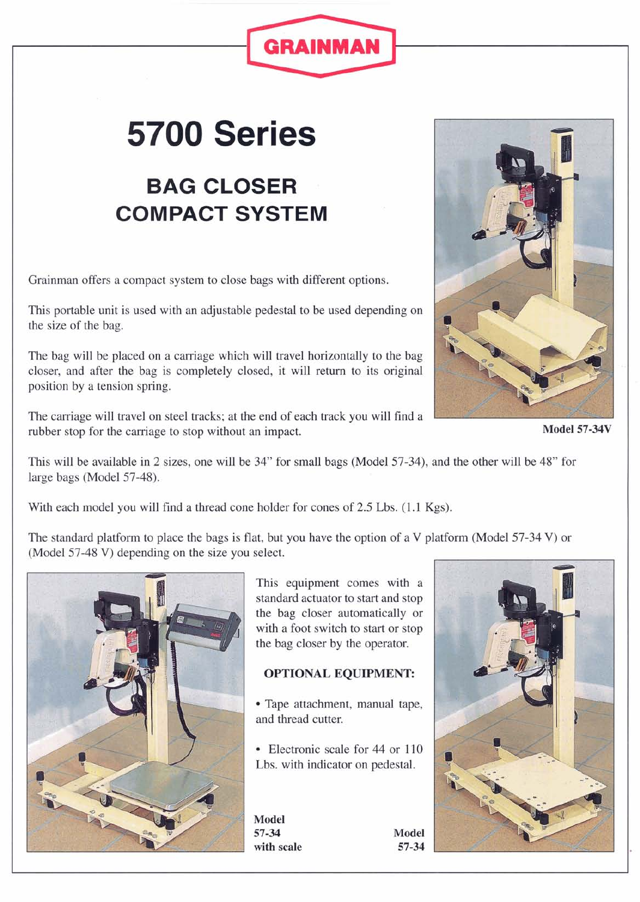# **5700 Series**

# **BAG CLOSER COMPACT SYSTEM**

Grainman offers a compact system to close bags with different options.

This portable unit is used with an adjustable pedestal to be used depending on the size of the bag.

The bag will be placed on a carriage which will travel horizontally to the bag closer, and after the bag is completely closed, it will return to its original position by a tension spring.

The carriage will travel on steel tracks; at the end of each track you will find a rubber stop for the carriage to stop without an impact. Model 57-34V

This will be available in 2 sizes, one will be 34" for small bags (Model 57-34), and the other will be 48" for large bags (Model 57-48).

**GRAINMAN** 

With each model you will find a thread cone holder for cones of 2.5 Lbs. (1.1 Kgs).

The standard platform to place the bags is flat, but you have the option of a V platform (Model 57-34 V) or (Model 57-48 V) depending on the size you select.



This equipment comes with a standard actuator to start and stop the bag closer automatically or with a foot switch to start or stop the bag closer by the operator.

#### **OPTIONAL EQUIPMENT:**

- Tape attachment, manual tape, and thread cutter.
- Electronic scale for 44 or 110 Lbs. with indicator on pedestal.

Model<br>57-34 **with scale** 

**Model 57-34 1**